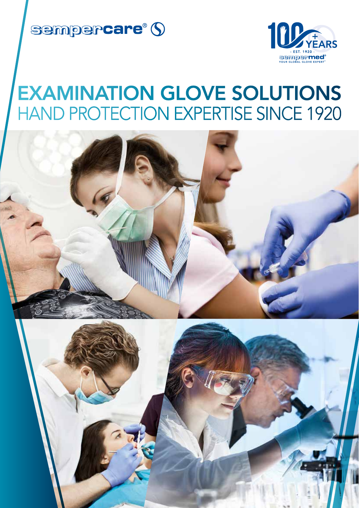



## EXAMINATION GLOVE SOLUTIONS HAND PROTECTION EXPERTISE SINCE 1920

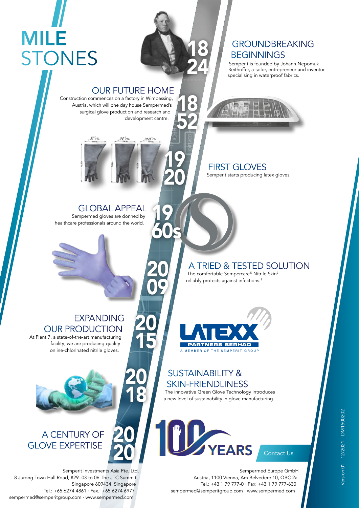# MILE **STONES**

### OUR FUTURE HOME

Construction commences on a factory in Wimpassing, Austria, which will one day house Sempermed's surgical glove production and research and development centre.

20

19

60s

09

20

15

20

18

20

20

18

18

24

52

GROUNDBREAKING

Semperit is founded by Johann Nepomuk Reithoffer, a tailor, entrepreneur and inventor

**BEGINNINGS** 

specialising in waterproof fabrics.

### $MD^{\prime}$ .N'rs 19 20

#### FIRST GLOVES Semperit starts producing latex gloves.

### GLOBAL APPEAL

Sempermed gloves are donned by healthcare professionals around the world.

### A TRIED & TESTED SOLUTION

The comfortable Sempercare® Nitrile Skin<sup>2</sup> reliably protects against infections.<sup>1</sup>

### EXPANDING OUR PRODUCTION

At Plant 7, a state-of-the-art manufacturing facility, we are producing quality online-chlorinated nitrile gloves.



### A CENTURY OF GLOVE EXPERTISE

Semperit Investments Asia Pte. Ltd, 8 Jurong Town Hall Road, #29–03 to 06 The JTC Summit, Singapore 609434, Singapore Tel.: +65 6274 4861 · Fax.: +65 6274 6977 sempermed@semperitgroup.com · www.sempermed.com



### SUSTAINABILITY & SKIN-FRIENDLINESS

The innovative Green Glove Technology introduces a new level of sustainability in glove manufacturing.



Sempermed Europe GmbH Austria, 1100 Vienna, Am Belvedere 10, QBC 2a Tel.: +43 1 79 777-0 · Fax: +43 1 79 777-630 sempermed@semperitgroup.com · www.sempermed.com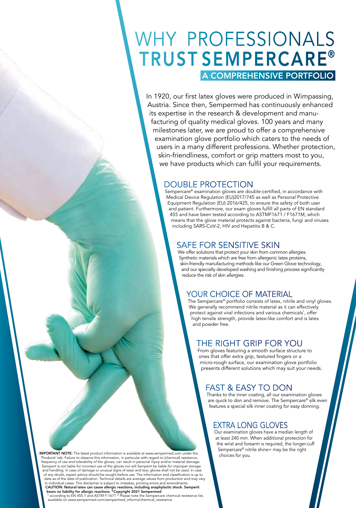## WHY PROFESSIONALS TRUST SEMPERCARE®

### A COMPREHENSIVE PORTFOLIO

In 1920, our first latex gloves were produced in Wimpassing, Austria. Since then, Sempermed has continuously enhanced its expertise in the research & development and manufacturing of quality medical gloves. 100 years and many milestones later, we are proud to offer a comprehensive examination glove portfolio which caters to the needs of users in a many different professions. Whether protection, skin-friendliness, comfort or grip matters most to you, we have products which can fulfil your requirements.

### DOUBLE PROTECTION

Sempercare® examination gloves are double-certified, in accordance with Medical Device Regulation (EU)2017/745 as well as Personal Protective Equipment Regulation (EU) 2016/425, to ensure the safety of both user and patient. Furthermore, our exam gloves fulfill all parts of EN standard 455 and have been tested according to ASTMF1671 / F1671M, which means that the glove material protects against bacteria, fungi and viruses including SARS-CoV-2, HIV and Hepatitis B & C.

### SAFE FOR SENSITIVE SKIN

We offer solutions that protect your skin from common allergies. Synthetic materials which are free from allergenic latex proteins, skin-friendly manufacturing methods like our Green Glove technology, and our specially developed washing and finishing process significantly reduce the risk of skin allergies.

### YOUR CHOICE OF MATERIAL

The Sempercare® portfolio consists of latex, nitrile and vinyl gloves. We generally recommend nitrile material as it can effectively protect against viral infections and various chemicals\* , offer high tensile strength, provide latex-like comfort and is latex and powder free.

### THE RIGHT GRIP FOR YOU

From gloves featuring a smooth surface structure to ones that offer extra grip, textured fingers or a micro-rough surface, our examination glove portfolio presents different solutions which may suit your needs.

### FAST & EASY TO DON

Thanks to the inner coating, all our examination gloves are quick to don and remove. The Sempercare® silk even features a special silk inner coating for easy donning.

### EXTRA LONG GLOVES

Our examination gloves have a median length of at least 240 mm. When additional protection for the wrist and forearm is required, the longer-cuff Sempercare® nitrile shine+ may be the right choices for you.

IMPORTANT NOTE: The latest product information is available at www.sempermed.com under the 'Products' tab. Failure to observe this information, in particular with regard to (chemical) resistance,<br>frequency of use and tolerability of the gloves, can result in personal injury and/or material damage.<br>Semperit is no and handling. In case of damage or unusual signs of wear and tear, gloves shall not be used. In case of any doubt, expert advice should be sought before use. The information and classification is up to date as of the date of publication. Technical details are average values from production and may vary in individual cases. This disclaimer is subject to mistakes, printing errors and amendments. CAUTION: Natural latex can cause allergic reactions, including anaphylactic shock. Semperit bears no liability for allergic reactions. ©Copyright 2021 Sempermed

<sup>1)</sup> according to EN 455-1 and ASTM F-1671<sup>2</sup> Please note the Sempercare chemical resistance list,<br>available on www.sempermed.com/sempermed\_informs/chemical\_resistance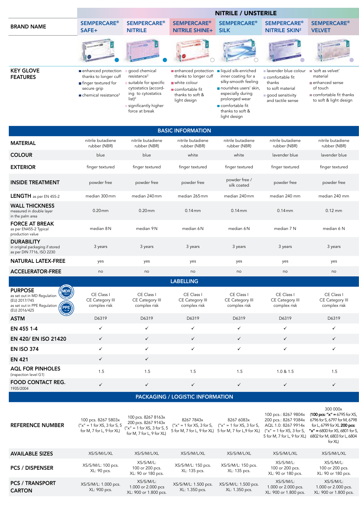|                                     |                                                                                                                                                      |                                                                                                                                       |                                                                                                                                          | <b>NITRILE / UNSTERILE</b>                                                                                   |                                                                                                                  |                                                                                                                  |
|-------------------------------------|------------------------------------------------------------------------------------------------------------------------------------------------------|---------------------------------------------------------------------------------------------------------------------------------------|------------------------------------------------------------------------------------------------------------------------------------------|--------------------------------------------------------------------------------------------------------------|------------------------------------------------------------------------------------------------------------------|------------------------------------------------------------------------------------------------------------------|
| <b>BRAND NAME</b>                   | <b>SEMPERCARE<sup>®</sup></b><br>SAFE+                                                                                                               | <b>SEMPERCARE<sup>®</sup></b><br><b>NITRILE</b>                                                                                       | <b>SEMPERCARE<sup>®</sup></b><br><b>NITRILE SHINE+</b> SILK                                                                              | <b>SEMPERCARE</b> <sup>®</sup>                                                                               | <b>SEMPERCARE®</b><br><b>NITRILE SKIN<sup>2</sup></b>                                                            | <b>SEMPERCARE<sup>®</sup></b><br><b>VELVET</b>                                                                   |
|                                     |                                                                                                                                                      |                                                                                                                                       |                                                                                                                                          |                                                                                                              |                                                                                                                  | <b>Change of</b>                                                                                                 |
| <b>KEY GLOVE</b><br><b>FEATURES</b> | enhanced protection<br>thanks to longer cuff<br>$\blacksquare$ finger textured for<br>secure grip<br>$\blacksquare$ chemical resistance <sup>2</sup> | good chemical<br>resistance <sup>2</sup><br>suitable for specific<br>cytostatics (accord-<br>ing to cytostatics<br>list) <sup>2</sup> | enhanced protection liquid silk-enriched<br>thanks to longer cuff<br>white colour<br>comfortable fit<br>thanks to soft &<br>light design | inner coating for a<br>silky-smooth feeling<br>nourishes users' skin,<br>especially during<br>prolonged wear | lavender blue colour<br>■ comfortable fit<br>thanks<br>to soft material<br>good sensitivity<br>and tactile sense | ■ 'soft as velvet'<br>material<br>enhanced sense<br>of touch<br>comfortable fit thanks<br>to soft & light design |

comfortable fit thanks to soft & light design

significantly higher force at break

|                                                                                   |                                   |                                   | <b>BASIC INFORMATION</b>          |                                   |                                   |                                   |
|-----------------------------------------------------------------------------------|-----------------------------------|-----------------------------------|-----------------------------------|-----------------------------------|-----------------------------------|-----------------------------------|
| <b>MATERIAL</b>                                                                   | nitrile butadiene<br>rubber (NBR) | nitrile butadiene<br>rubber (NBR) | nitrile butadiene<br>rubber (NBR) | nitrile butadiene<br>rubber (NBR) | nitrile butadiene<br>rubber (NBR) | nitrile butadiene<br>rubber (NBR) |
| <b>COLOUR</b>                                                                     | blue                              | blue                              | white                             | white                             | lavender blue                     | lavender blue                     |
| <b>EXTERIOR</b>                                                                   | finger textured                   | finger textured                   | finger textured                   | finger textured                   | finger textured                   | finger textured                   |
| <b>INSIDE TREATMENT</b>                                                           | powder free                       | powder free                       | powder free                       | powder free /<br>silk coated      | powder free                       | powder free                       |
| <b>LENGTH</b> as per EN 455-2                                                     | median 300mm                      | median 240mm                      | median 265mm                      | median 240mm                      | median 240 mm                     | median 240 mm                     |
| <b>WALL THICKNESS</b><br>measured in double layer<br>in the palm area             | $0.20$ mm                         | $0.20$ mm                         | $0.14$ mm                         | $0.14$ mm                         | $0.14$ mm                         | $0.12$ mm                         |
| <b>FORCE AT BREAK</b><br>as per EN455-2 Typical<br>production value               | median 8 N                        | median 9N                         | median 6 N                        | median 6N                         | median 7 N                        | median 6 N                        |
| <b>DURABILITY</b><br>in original packaging if stored<br>as per DIN 7716, ISO 2230 | 3 years                           | 3 years                           | 3 years                           | 3 years                           | 3 years                           | 3 years                           |
| <b>NATURAL LATEX-FREE</b>                                                         | yes                               | yes                               | yes                               | yes                               | yes                               | yes                               |
| <b>ACCELERATOR-FREE</b>                                                           | no                                | no                                | no                                | no                                | no                                | no                                |

|                                                                                                                                                            |                                               |                                               | <b>LABELLING</b>                              |                                               |                                               |                                               |
|------------------------------------------------------------------------------------------------------------------------------------------------------------|-----------------------------------------------|-----------------------------------------------|-----------------------------------------------|-----------------------------------------------|-----------------------------------------------|-----------------------------------------------|
| <b>PURPOSE</b><br>MDR<br>as set out in MD Regulation<br><b>Branch</b><br>(EU) 2017/745<br>PPE<br>as set out in PPE Regulation<br>(EU) 2016/425<br>Cat. III | CE Class I<br>CE Category III<br>complex risk | CE Class I<br>CE Category III<br>complex risk | CE Class I<br>CE Category III<br>complex risk | CE Class I<br>CE Category III<br>complex risk | CE Class I<br>CE Category III<br>complex risk | CE Class I<br>CE Category III<br>complex risk |
| <b>ASTM</b>                                                                                                                                                | D6319                                         | D6319                                         | D6319                                         | D6319                                         | D6319                                         | D6319                                         |
| EN 455 1-4                                                                                                                                                 |                                               |                                               |                                               | ✓                                             |                                               |                                               |
| EN 420/ EN ISO 21420                                                                                                                                       |                                               |                                               |                                               | $\checkmark$                                  |                                               | $\checkmark$                                  |
| <b>EN ISO 374</b>                                                                                                                                          |                                               |                                               |                                               |                                               |                                               |                                               |
| <b>EN 421</b>                                                                                                                                              |                                               |                                               |                                               |                                               |                                               |                                               |
| <b>AQL FOR PINHOLES</b><br>(inspection level G1)                                                                                                           | 1.5                                           | 1.5                                           | 1.5                                           | 1.5                                           | 1.0 & 1.5                                     | 1.5                                           |
| <b>FOOD CONTACT REG.</b><br>1935/2004                                                                                                                      |                                               |                                               |                                               |                                               |                                               |                                               |

### PACKAGING / LOGISTIC INFORMATION

| <b>REFERENCE NUMBER</b>                 | 100 pcs. 8267 5803x<br>$("x" = 1 for XS, 3 for S, 5)$<br>for M, 7 for L, 9 for XL) | 100 pcs. 8267 8163x<br>200 pcs. 8267 9143x<br>$''x'' = 1$ for XS, 3 for S, 5<br>for M, 7 for L, 9 for XL) | 8267 7843x                             | 8267 6083x<br>$("x" = 1 for XS, 3 for S, ("x" = 1 for XS, 3 for S,$<br>5 for M, 7 for L, 9 for XL) 5 for M, 7 for L, 9 for XL) | 100 pcs.: 8267 9804x                                      | 300 000x<br>$(100 \text{ pcs:} "x" = 6795 \text{ for } XS,$<br>200 pcs.: 8267 9384x 6796 for S, 6797 for M, 6798<br>AQL 1.0: 8267 9914x for L, 6799 for XL 200 pcs:<br>$("x" = 1$ for XS, 3 for S, $"x" = 6800$ for XS, 6801 for S,<br>5 for M, 7 for L, 9 for XL) 6802 for M, 6803 for L, 6804<br>for XL) |  |  |  |  |
|-----------------------------------------|------------------------------------------------------------------------------------|-----------------------------------------------------------------------------------------------------------|----------------------------------------|--------------------------------------------------------------------------------------------------------------------------------|-----------------------------------------------------------|------------------------------------------------------------------------------------------------------------------------------------------------------------------------------------------------------------------------------------------------------------------------------------------------------------|--|--|--|--|
| <b>AVAILABLE SIZES</b>                  | XS/S/M/L/XL                                                                        | XS/S/M/L/XL                                                                                               | XS/S/M/L/XL                            | XS/S/M/L/XL                                                                                                                    | XS/S/M/L/XL                                               | XS/S/M/L/XL                                                                                                                                                                                                                                                                                                |  |  |  |  |
| <b>PCS / DISPENSER</b>                  | XS/S/M/L: 100 pcs.<br>XL: 90 pcs.                                                  | XS/S/M/L:<br>100 or 200 pcs.<br>XL: 90 or 180 pcs.                                                        | XS/S/M/L: 150 pcs.<br>XL: 135 pcs.     | XS/S/M/L: 150 pcs.<br>XL: 135 pcs.                                                                                             | XS/S/M/L:<br>100 or 200 pcs.<br>XL: 90 or 180 pcs.        | XS/S/M/L:<br>100 or 200 pcs.<br>XL: 90 or 180 pcs.                                                                                                                                                                                                                                                         |  |  |  |  |
| <b>PCS / TRANSPORT</b><br><b>CARTON</b> | XS/S/M/L: 1.000 pcs.<br>XL: 900 pcs.                                               | XS/S/M/L:<br>1.000 or 2.000 pcs<br>XL: 900 or 1.800 pcs.                                                  | XS/S/M/L: 1.500 pcs.<br>XL: 1.350 pcs. | XS/S/M/L: 1.500 pcs.<br>XL: 1.350 pcs.                                                                                         | XS/S/M/L:<br>1.000 or 2.000 pcs.<br>XL: 900 or 1.800 pcs. | XS/S/M/L:<br>1.000 or 2.000 pcs.<br>XL: 900 or 1.800 pcs.                                                                                                                                                                                                                                                  |  |  |  |  |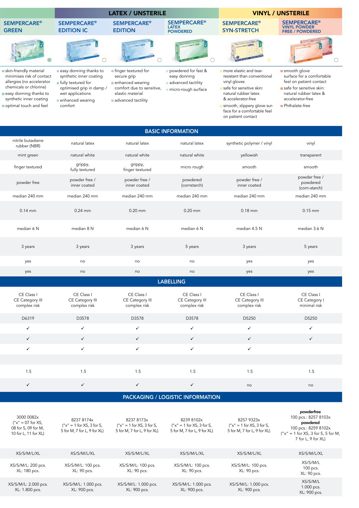|                                                                                                                                                                                           |                                                                                                                                                        | <b>LATEX / UNSTERILE</b>                                                                                                        |                                                                                  |                                                                                                                                                                                                                                     | <b>VINYL / UNSTERILE</b>                                                                                                                                         |
|-------------------------------------------------------------------------------------------------------------------------------------------------------------------------------------------|--------------------------------------------------------------------------------------------------------------------------------------------------------|---------------------------------------------------------------------------------------------------------------------------------|----------------------------------------------------------------------------------|-------------------------------------------------------------------------------------------------------------------------------------------------------------------------------------------------------------------------------------|------------------------------------------------------------------------------------------------------------------------------------------------------------------|
| <b>SEMPERCARE®</b><br><b>GREEN</b>                                                                                                                                                        | <b>SEMPERCARE<sup>®</sup></b><br><b>EDITION IC</b>                                                                                                     | <b>SEMPERCARE<sup>®</sup></b><br><b>EDITION</b>                                                                                 | <b>SEMPERCARE<sup>®</sup></b><br><b>LATEX</b><br><b>POWDERED</b>                 | <b>SEMPERCARE<sup>®</sup></b><br><b>SYN-STRETCH</b>                                                                                                                                                                                 | <b>SEMPERCARE<sup>®</sup></b><br><b>VINYL POWDER</b><br><b>FREE / POWDERED</b>                                                                                   |
|                                                                                                                                                                                           |                                                                                                                                                        |                                                                                                                                 |                                                                                  |                                                                                                                                                                                                                                     |                                                                                                                                                                  |
| skin-friendly material<br>minimises risk of contact<br>allergies (no accelerator<br>chemicals or chlorine)<br>easy donning thanks to<br>synthetic inner coating<br>optimal touch and feel | easy donning thanks to<br>synthetic inner coating<br>fully textured for<br>optimised grip in damp /<br>wet applications<br>enhanced wearing<br>comfort | I finger textured for<br>secure grip<br>enhanced wearing<br>comfort due to sensitive,<br>elastic material<br>advanced tactility | powdered for fast &<br>easy donning<br>advanced tactility<br>micro-rough surface | more elastic and tear-<br>resistant than conventional<br>vinyl gloves<br>safe for sensitive skin:<br>natural rubber latex<br>& accelerator-free<br>smooth, slippery glove sur-<br>face for a comfortable feel<br>on patient contact | smooth glove<br>surface for a comfortable<br>feel on patient contact<br>safe for sensitive skin:<br>natural rubber latex &<br>accelerator-free<br>Phthalate-free |

|                                   |                               |                               | <b>BASIC INFORMATION</b> |                          |                               |                                            |
|-----------------------------------|-------------------------------|-------------------------------|--------------------------|--------------------------|-------------------------------|--------------------------------------------|
| nitrile butadiene<br>rubber (NBR) | natural latex                 | natural latex                 |                          | natural latex            | synthetic polymer / vinyl     | vinyl                                      |
| mint green                        | natural white                 | natural white                 |                          | natural white            | yellowish                     | transparent                                |
| finger textured                   | grippy,<br>fully textured     | grippy,<br>finger textured    |                          | micro rough              | smooth                        | smooth                                     |
| powder free                       | powder free /<br>inner coated | powder free /<br>inner coated |                          | powdered<br>(cornstarch) | powder free /<br>inner coated | powder free /<br>powdered<br>(corn-starch) |
| median 240 mm                     | median 240 mm                 | median 240 mm                 |                          | median 240 mm            | median 240 mm                 | median 240 mm                              |
| $0.14$ mm                         | $0.24$ mm                     | $0.20$ mm                     |                          | $0.20$ mm                | $0.18$ mm                     | $0.15$ mm                                  |
| median 6 N                        | median 8 N                    | median 6 N                    |                          | median 6 N               | median 4.5 N                  | median 3.6 N                               |
| 3 years                           | 3 years                       | 3 years                       |                          | 5 years                  | 3 years                       | 5 years                                    |
| yes                               | no                            | no                            |                          | no                       | yes                           | yes                                        |
| yes                               | no                            | no                            |                          | no                       | yes                           | yes                                        |
|                                   |                               |                               |                          |                          |                               |                                            |

|--|

| CE Class I<br>CE Category III<br>complex risk | CE Class I<br>CE Category III<br>complex risk | CE Class I<br>CE Category III<br>complex risk | CE Class I<br>CE Category III<br>complex risk | CE Class I<br>CE Category III<br>complex risk | CE Class I<br>CE Category I<br>minimal risk |
|-----------------------------------------------|-----------------------------------------------|-----------------------------------------------|-----------------------------------------------|-----------------------------------------------|---------------------------------------------|
| D6319                                         | D3578                                         | D3578                                         | D3578                                         | D5250                                         | D5250                                       |
| ◡                                             |                                               |                                               |                                               |                                               |                                             |
| $\checkmark$                                  |                                               |                                               |                                               | $\checkmark$                                  | $\overline{\phantom{a}}$                    |
|                                               |                                               |                                               |                                               |                                               |                                             |
|                                               |                                               |                                               |                                               |                                               |                                             |
| 1.5                                           | 1.5                                           | 1.5                                           | 1.5                                           | 1.5                                           | 1.5                                         |
| $\checkmark$                                  | ✓                                             |                                               | $\checkmark$                                  | no                                            | no                                          |

### PACKAGING / LOGISTIC INFORMATION

| 3000 0082x<br>$("x" = 07$ for XS,<br>08 for S, 09 for M,<br>10 for L, 11 for XL) | 8237 8174x<br>$''x'' = 1$ for XS, 3 for S,<br>5 for M, 7 for L, 9 for XL) | 8237 8173x<br>$''x'' = 1$ for XS, 3 for S,<br>5 for M, 7 for L, 9 for XL) | 8239 8102x<br>$''x'' = 1$ for XS, 3 for S,<br>5 for M, 7 for L, 9 for XL) | 8257 9323x<br>$("x" = 1 for XS, 3 for S,$<br>5 for M, 7 for L, 9 for XL) | powderfree<br>100 pcs.: 8257 8103x<br>powdered<br>100 pcs.: 8259 8102x<br>$("x" = 1 for XS, 3 for S, 5 for M,$<br>7 for L, 9 for XL) |
|----------------------------------------------------------------------------------|---------------------------------------------------------------------------|---------------------------------------------------------------------------|---------------------------------------------------------------------------|--------------------------------------------------------------------------|--------------------------------------------------------------------------------------------------------------------------------------|
| XS/S/M/L/XL                                                                      | XS/S/M/L/XL                                                               | XS/S/M/L/XL                                                               | XS/S/M/L/XL                                                               | XS/S/M/L/XL                                                              | XS/S/M/L/XL                                                                                                                          |
| XS/S/M/L: 200 pcs.<br>XL: 180 pcs.                                               | XS/S/M/L: 100 pcs.<br>XL: 90 pcs.                                         | XS/S/M/L: 100 pcs.<br>XL: 90 pcs.                                         | XS/S/M/L: 100 pcs.<br>XL: 90 pcs.                                         | XS/S/M/L: 100 pcs.<br>XL: 90 pcs.                                        | XS/S/M/L<br>100 pcs.<br>XL: 90 pcs.                                                                                                  |
| XS/S/M/L: 2.000 pcs.<br>XL: 1.800 pcs.                                           | XS/S/M/L: 1.000 pcs.<br>XL: 900 pcs.                                      | XS/S/M/L: 1.000 pcs.<br>XL: 900 pcs.                                      | XS/S/M/L: 1.000 pcs.<br>XL: 900 pcs.                                      | XS/S/M/L: 1.000 pcs.<br>XL: 900 pcs.                                     | XS/S/M/L<br>1.000 pcs.<br>XL: 900 pcs.                                                                                               |